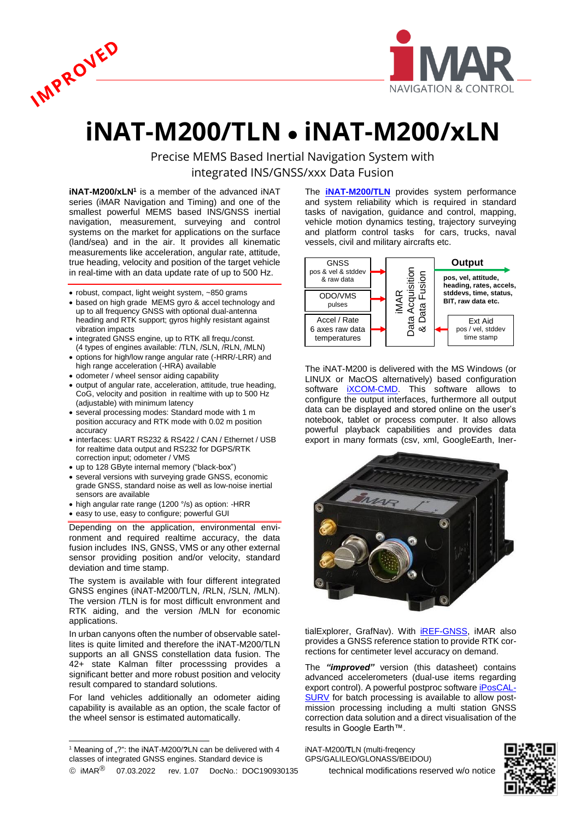



## **iNAT-M200/TLN** • **iNAT-M200/xLN**

Precise MEMS Based Inertial Navigation System with integrated INS/GNSS/xxx Data Fusion

**iNAT-M200/xLN<sup>1</sup>** is a member of the advanced iNAT series (iMAR Navigation and Timing) and one of the smallest powerful MEMS based INS/GNSS inertial navigation, measurement, surveying and control systems on the market for applications on the surface (land/sea) and in the air. It provides all kinematic measurements like acceleration, angular rate, attitude, true heading, velocity and position of the target vehicle in real-time with an data update rate of up to 500 Hz.

- robust, compact, light weight system, ~850 grams
- based on high grade MEMS gyro & accel technology and up to all frequency GNSS with optional dual-antenna heading and RTK support; gyros highly resistant against vibration impacts
- integrated GNSS engine, up to RTK all frequ./const. (4 types of engines available: /TLN, /SLN, /RLN, /MLN)
- options for high/low range angular rate (-HRR/-LRR) and high range acceleration (-HRA) available
- odometer / wheel sensor aiding capability
- output of angular rate, acceleration, attitude, true heading, CoG, velocity and position in realtime with up to 500 Hz (adjustable) with minimum latency
- several processing modes: Standard mode with 1 m position accuracy and RTK mode with 0.02 m position accuracy
- interfaces: UART RS232 & RS422 / CAN / Ethernet / USB for realtime data output and RS232 for DGPS/RTK correction input; odometer / VMS
- up to 128 GByte internal memory ("black-box")
- several versions with surveying grade GNSS, economic grade GNSS, standard noise as well as low-noise inertial sensors are available
- high angular rate range (1200 °/s) as option: -HRR
- easy to use, easy to configure; powerful GUI

Depending on the application, environmental environment and required realtime accuracy, the data fusion includes INS, GNSS, VMS or any other external sensor providing position and/or velocity, standard deviation and time stamp.

The system is available with four different integrated GNSS engines (iNAT-M200/TLN, /RLN, /SLN, /MLN). The version /TLN is for most difficult envronment and RTK aiding, and the version /MLN for economic applications.

In urban canyons often the number of observable satellites is quite limited and therefore the iNAT-M200/TLN supports an all GNSS constellation data fusion. The 42+ state Kalman filter processsing provides a significant better and more robust position and velocity result compared to standard solutions.

For land vehicles additionally an odometer aiding capability is available as an option, the scale factor of the wheel sensor is estimated automatically.

 $\overline{\phantom{a}}$ 

The **[iNAT-M200/TLN](https://www.imar-navigation.de/en/products/by-product-names/item/inat-m200-advanced-mems-based-navigation-surveying-control-system)** provides system performance and system reliability which is required in standard tasks of navigation, guidance and control, mapping, vehicle motion dynamics testing, trajectory surveying and platform control tasks for cars, trucks, naval vessels, civil and military aircrafts etc.

L



The iNAT-M200 is delivered with the MS Windows (or LINUX or MacOS alternatively) based configuration software **iXCOM-CMD**. This software allows to configure the output interfaces, furthermore all output data can be displayed and stored online on the user's notebook, tablet or process computer. It also allows powerful playback capabilities and provides data export in many formats (csv, xml, GoogleEarth, Iner-



tialExplorer, GrafNav). With [iREF-GNSS,](https://www.imar-navigation.de/en/products/by-product-names/item/iref-l1l2-gps-reference-station?category_id=248) iMAR also provides a GNSS reference station to provide RTK corrections for centimeter level accuracy on demand.

The *"improved"* version (this datasheet) contains advanced accelerometers (dual-use items regarding export control). A powerful postproc software [iPosCAL-](https://www.imar-navigation.de/de/produkte-uebersicht/product-overview-by-product/item/iposcal-post-processing-software-for-ins-gnss-odo-data?category_id=292)[SURV](https://www.imar-navigation.de/de/produkte-uebersicht/product-overview-by-product/item/iposcal-post-processing-software-for-ins-gnss-odo-data?category_id=292) for batch processing is available to allow postmission processing including a multi station GNSS correction data solution and a direct visualisation of the results in Google Earth™.

iNAT-M200/**T**LN (multi-freqency GPS/GALILEO/GLONASS/BEIDOU)



<sup>&</sup>lt;sup>1</sup> Meaning of "?": the iNAT-M200/?LN can be delivered with 4 classes of integrated GNSS engines. Standard device is

 $\degree$  iMAR $\degree$  07.03.2022 rev. 1.07 DocNo.: DOC190930135 technical modifications reserved w/o notice